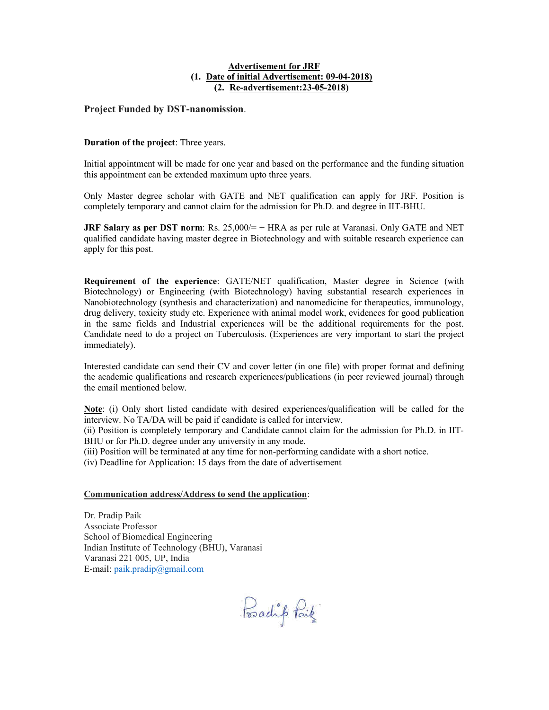## Advertisement for JRF (1. Date of initial Advertisement: 09-04-2018) (2. Re-advertisement:23-05-2018)

## Project Funded by DST-nanomission.

## Duration of the project: Three years.

Initial appointment will be made for one year and based on the performance and the funding situation this appointment can be extended maximum upto three years.

Only Master degree scholar with GATE and NET qualification can apply for JRF. Position is completely temporary and cannot claim for the admission for Ph.D. and degree in IIT-BHU.

**JRF Salary as per DST norm:** Rs.  $25,000/=$  + HRA as per rule at Varanasi. Only GATE and NET qualified candidate having master degree in Biotechnology and with suitable research experience can apply for this post.

Requirement of the experience: GATE/NET qualification, Master degree in Science (with Biotechnology) or Engineering (with Biotechnology) having substantial research experiences in Nanobiotechnology (synthesis and characterization) and nanomedicine for therapeutics, immunology, drug delivery, toxicity study etc. Experience with animal model work, evidences for good publication in the same fields and Industrial experiences will be the additional requirements for the post. Candidate need to do a project on Tuberculosis. (Experiences are very important to start the project immediately).

Interested candidate can send their CV and cover letter (in one file) with proper format and defining the academic qualifications and research experiences/publications (in peer reviewed journal) through the email mentioned below.

Note: (i) Only short listed candidate with desired experiences/qualification will be called for the interview. No TA/DA will be paid if candidate is called for interview.

(ii) Position is completely temporary and Candidate cannot claim for the admission for Ph.D. in IIT-BHU or for Ph.D. degree under any university in any mode.

(iii) Position will be terminated at any time for non-performing candidate with a short notice.

(iv) Deadline for Application: 15 days from the date of advertisement

## Communication address/Address to send the application:

Dr. Pradip Paik Associate Professor School of Biomedical Engineering Indian Institute of Technology (BHU), Varanasi Varanasi 221 005, UP, India E-mail: paik.pradip@gmail.com

Posadip Paik